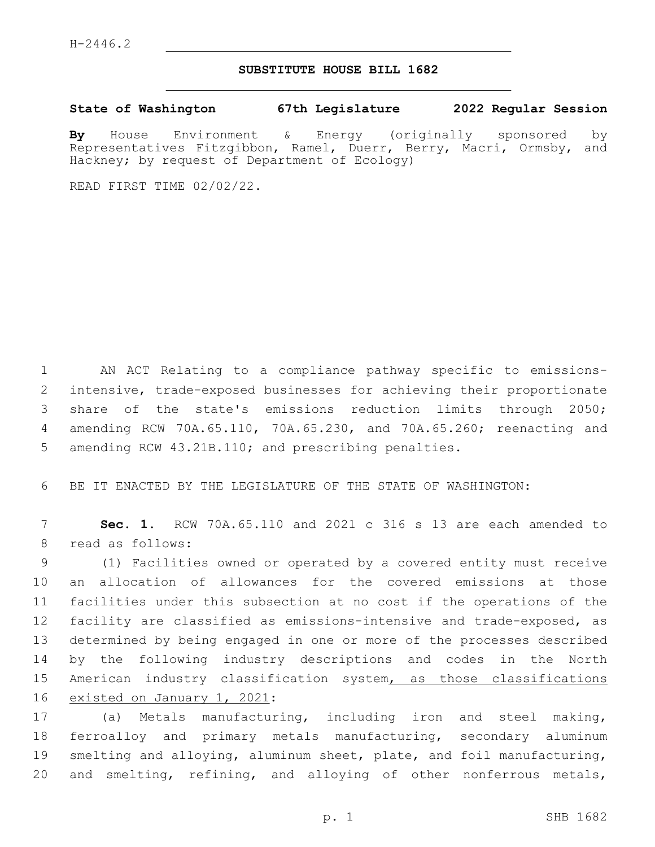## **SUBSTITUTE HOUSE BILL 1682**

**State of Washington 67th Legislature 2022 Regular Session**

**By** House Environment & Energy (originally sponsored by Representatives Fitzgibbon, Ramel, Duerr, Berry, Macri, Ormsby, and Hackney; by request of Department of Ecology)

READ FIRST TIME 02/02/22.

 AN ACT Relating to a compliance pathway specific to emissions- intensive, trade-exposed businesses for achieving their proportionate share of the state's emissions reduction limits through 2050; amending RCW 70A.65.110, 70A.65.230, and 70A.65.260; reenacting and amending RCW 43.21B.110; and prescribing penalties.

BE IT ENACTED BY THE LEGISLATURE OF THE STATE OF WASHINGTON:

 **Sec. 1.** RCW 70A.65.110 and 2021 c 316 s 13 are each amended to 8 read as follows:

 (1) Facilities owned or operated by a covered entity must receive an allocation of allowances for the covered emissions at those facilities under this subsection at no cost if the operations of the facility are classified as emissions-intensive and trade-exposed, as determined by being engaged in one or more of the processes described by the following industry descriptions and codes in the North 15 American industry classification system, as those classifications 16 existed on January 1, 2021:

 (a) Metals manufacturing, including iron and steel making, ferroalloy and primary metals manufacturing, secondary aluminum smelting and alloying, aluminum sheet, plate, and foil manufacturing, and smelting, refining, and alloying of other nonferrous metals,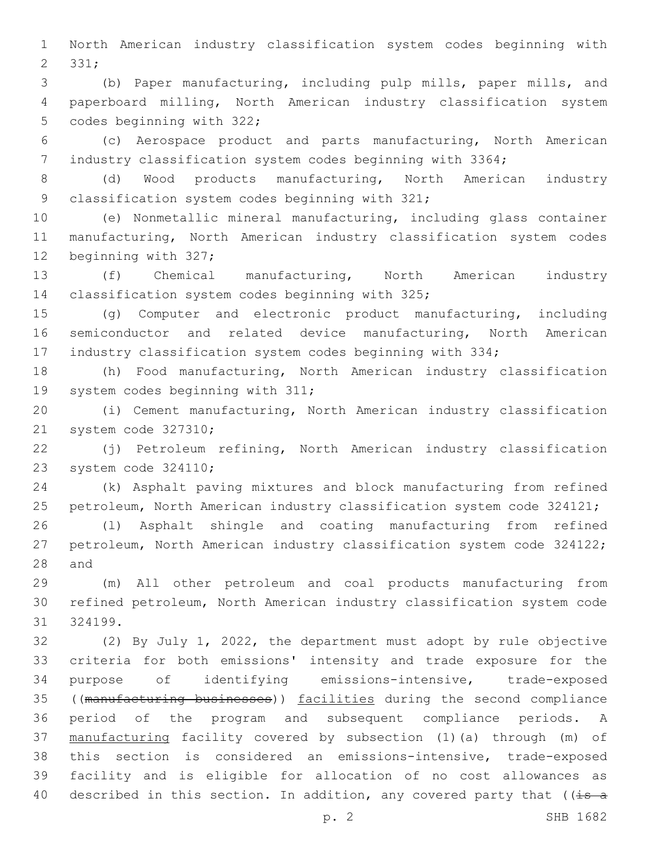North American industry classification system codes beginning with 2 331;

 (b) Paper manufacturing, including pulp mills, paper mills, and paperboard milling, North American industry classification system 5 codes beginning with 322;

 (c) Aerospace product and parts manufacturing, North American industry classification system codes beginning with 3364;

 (d) Wood products manufacturing, North American industry 9 classification system codes beginning with 321;

 (e) Nonmetallic mineral manufacturing, including glass container manufacturing, North American industry classification system codes 12 beginning with 327;

 (f) Chemical manufacturing, North American industry 14 classification system codes beginning with 325;

 (g) Computer and electronic product manufacturing, including semiconductor and related device manufacturing, North American industry classification system codes beginning with 334;

 (h) Food manufacturing, North American industry classification 19 system codes beginning with 311;

 (i) Cement manufacturing, North American industry classification 21 system code 327310;

 (j) Petroleum refining, North American industry classification 23 system code 324110;

 (k) Asphalt paving mixtures and block manufacturing from refined petroleum, North American industry classification system code 324121;

 (l) Asphalt shingle and coating manufacturing from refined petroleum, North American industry classification system code 324122; 28 and

 (m) All other petroleum and coal products manufacturing from refined petroleum, North American industry classification system code 324199.

 (2) By July 1, 2022, the department must adopt by rule objective criteria for both emissions' intensity and trade exposure for the purpose of identifying emissions-intensive, trade-exposed ((manufacturing businesses)) facilities during the second compliance period of the program and subsequent compliance periods. A manufacturing facility covered by subsection (1)(a) through (m) of this section is considered an emissions-intensive, trade-exposed facility and is eligible for allocation of no cost allowances as 40 described in this section. In addition, any covered party that ( $(i=5a$ 

p. 2 SHB 1682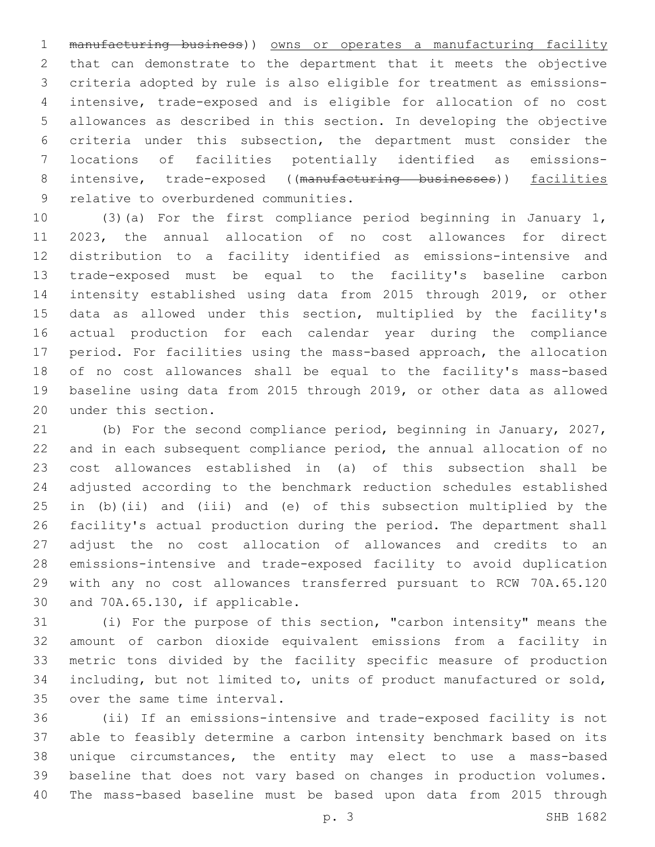manufacturing business)) owns or operates a manufacturing facility that can demonstrate to the department that it meets the objective criteria adopted by rule is also eligible for treatment as emissions- intensive, trade-exposed and is eligible for allocation of no cost allowances as described in this section. In developing the objective criteria under this subsection, the department must consider the locations of facilities potentially identified as emissions-8 intensive, trade-exposed ((manufacturing businesses)) facilities 9 relative to overburdened communities.

 (3)(a) For the first compliance period beginning in January 1, 2023, the annual allocation of no cost allowances for direct distribution to a facility identified as emissions-intensive and trade-exposed must be equal to the facility's baseline carbon intensity established using data from 2015 through 2019, or other data as allowed under this section, multiplied by the facility's actual production for each calendar year during the compliance period. For facilities using the mass-based approach, the allocation of no cost allowances shall be equal to the facility's mass-based baseline using data from 2015 through 2019, or other data as allowed 20 under this section.

 (b) For the second compliance period, beginning in January, 2027, and in each subsequent compliance period, the annual allocation of no cost allowances established in (a) of this subsection shall be adjusted according to the benchmark reduction schedules established in (b)(ii) and (iii) and (e) of this subsection multiplied by the facility's actual production during the period. The department shall adjust the no cost allocation of allowances and credits to an emissions-intensive and trade-exposed facility to avoid duplication with any no cost allowances transferred pursuant to RCW 70A.65.120 30 and 70A.65.130, if applicable.

 (i) For the purpose of this section, "carbon intensity" means the amount of carbon dioxide equivalent emissions from a facility in metric tons divided by the facility specific measure of production including, but not limited to, units of product manufactured or sold, 35 over the same time interval.

 (ii) If an emissions-intensive and trade-exposed facility is not able to feasibly determine a carbon intensity benchmark based on its unique circumstances, the entity may elect to use a mass-based baseline that does not vary based on changes in production volumes. The mass-based baseline must be based upon data from 2015 through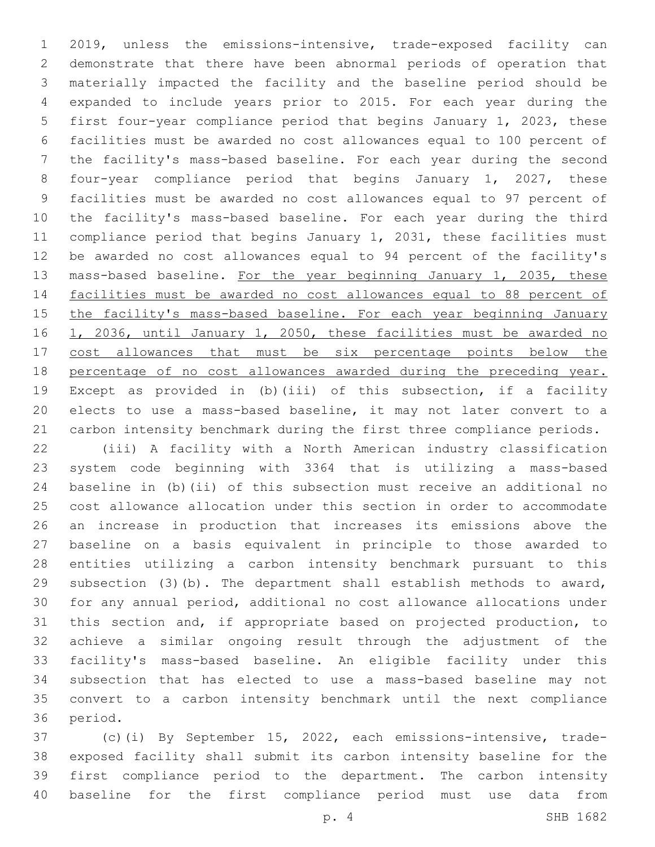2019, unless the emissions-intensive, trade-exposed facility can demonstrate that there have been abnormal periods of operation that materially impacted the facility and the baseline period should be expanded to include years prior to 2015. For each year during the first four-year compliance period that begins January 1, 2023, these facilities must be awarded no cost allowances equal to 100 percent of the facility's mass-based baseline. For each year during the second four-year compliance period that begins January 1, 2027, these facilities must be awarded no cost allowances equal to 97 percent of the facility's mass-based baseline. For each year during the third compliance period that begins January 1, 2031, these facilities must be awarded no cost allowances equal to 94 percent of the facility's 13 mass-based baseline. For the year beginning January 1, 2035, these facilities must be awarded no cost allowances equal to 88 percent of 15 the facility's mass-based baseline. For each year beginning January 16 1, 2036, until January 1, 2050, these facilities must be awarded no 17 cost allowances that must be six percentage points below the percentage of no cost allowances awarded during the preceding year. Except as provided in (b)(iii) of this subsection, if a facility elects to use a mass-based baseline, it may not later convert to a carbon intensity benchmark during the first three compliance periods.

 (iii) A facility with a North American industry classification system code beginning with 3364 that is utilizing a mass-based baseline in (b)(ii) of this subsection must receive an additional no cost allowance allocation under this section in order to accommodate an increase in production that increases its emissions above the baseline on a basis equivalent in principle to those awarded to entities utilizing a carbon intensity benchmark pursuant to this subsection (3)(b). The department shall establish methods to award, for any annual period, additional no cost allowance allocations under this section and, if appropriate based on projected production, to achieve a similar ongoing result through the adjustment of the facility's mass-based baseline. An eligible facility under this subsection that has elected to use a mass-based baseline may not convert to a carbon intensity benchmark until the next compliance 36 period.

 (c)(i) By September 15, 2022, each emissions-intensive, trade- exposed facility shall submit its carbon intensity baseline for the first compliance period to the department. The carbon intensity baseline for the first compliance period must use data from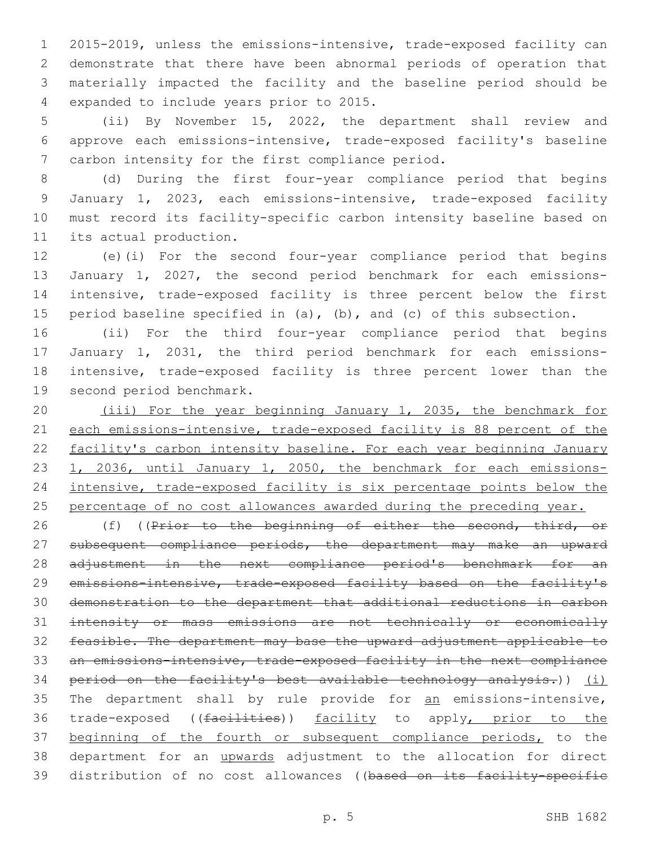2015-2019, unless the emissions-intensive, trade-exposed facility can demonstrate that there have been abnormal periods of operation that materially impacted the facility and the baseline period should be 4 expanded to include years prior to 2015.

5 (ii) By November 15, 2022, the department shall review and 6 approve each emissions-intensive, trade-exposed facility's baseline 7 carbon intensity for the first compliance period.

 (d) During the first four-year compliance period that begins January 1, 2023, each emissions-intensive, trade-exposed facility must record its facility-specific carbon intensity baseline based on 11 its actual production.

 (e)(i) For the second four-year compliance period that begins January 1, 2027, the second period benchmark for each emissions- intensive, trade-exposed facility is three percent below the first period baseline specified in (a), (b), and (c) of this subsection.

 (ii) For the third four-year compliance period that begins January 1, 2031, the third period benchmark for each emissions- intensive, trade-exposed facility is three percent lower than the 19 second period benchmark.

20 (iii) For the year beginning January 1, 2035, the benchmark for 21 each emissions-intensive, trade-exposed facility is 88 percent of the 22 facility's carbon intensity baseline. For each year beginning January 23 1, 2036, until January 1, 2050, the benchmark for each emissions-24 intensive, trade-exposed facility is six percentage points below the 25 percentage of no cost allowances awarded during the preceding year.

26 (f) ((Prior to the beginning of either the second, third, or 27 subsequent compliance periods, the department may make an upward 28 adjustment in the next compliance period's benchmark for an 29 emissions-intensive, trade-exposed facility based on the facility's 30 demonstration to the department that additional reductions in carbon 31 intensity or mass emissions are not technically or economically 32 feasible. The department may base the upward adjustment applicable to 33 an emissions-intensive, trade-exposed facility in the next compliance 34 period on the facility's best available technology analysis.)) (i) 35 The department shall by rule provide for an emissions-intensive, 36 trade-exposed ((facilities)) facility to apply, prior to the 37 beginning of the fourth or subsequent compliance periods, to the 38 department for an *upwards* adjustment to the allocation for direct 39 distribution of no cost allowances ((based on its facility-specific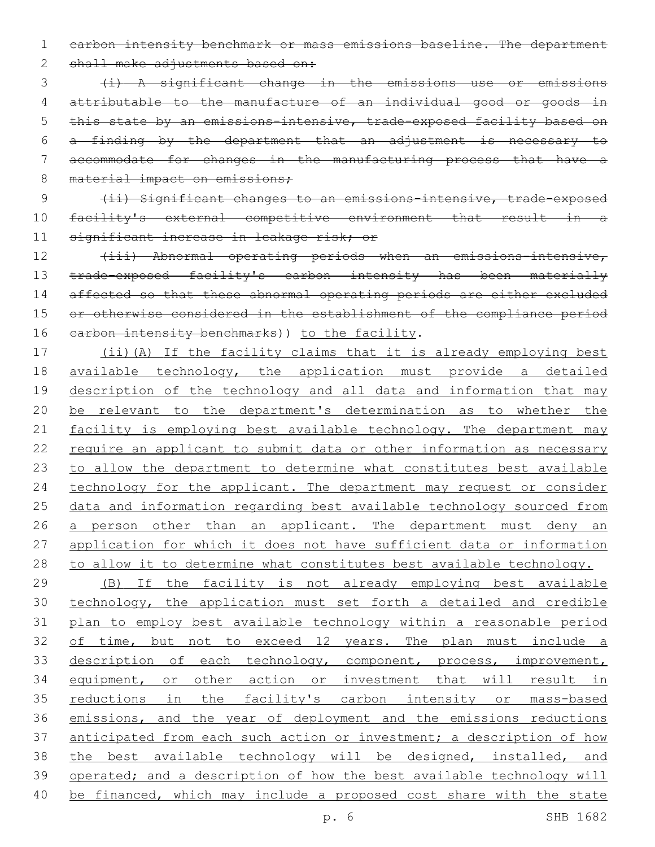1 carbon intensity benchmark or mass emissions baseline. The department

2 shall make adjustments based on:

 (i) A significant change in the emissions use or emissions attributable to the manufacture of an individual good or goods in 5 this state by an emissions-intensive, trade-exposed facility based on a finding by the department that an adjustment is necessary to accommodate for changes in the manufacturing process that have a 8 material impact on emissions;

9 (ii) Significant changes to an emissions-intensive, trade-exposed 10 facility's external competitive environment that result in a 11 significant increase in leakage risk; or

12 (iii) Abnormal operating periods when an emissions-intensive, 13 trade-exposed facility's carbon intensity has been materially 14 affected so that these abnormal operating periods are either excluded 15 or otherwise considered in the establishment of the compliance period 16 earbon intensity benchmarks)) to the facility.

17 (ii)(A) If the facility claims that it is already employing best 18 available technology, the application must provide a detailed 19 description of the technology and all data and information that may 20 be relevant to the department's determination as to whether the 21 facility is employing best available technology. The department may 22 require an applicant to submit data or other information as necessary 23 to allow the department to determine what constitutes best available 24 technology for the applicant. The department may request or consider 25 data and information regarding best available technology sourced from 26 a person other than an applicant. The department must deny an 27 application for which it does not have sufficient data or information 28 to allow it to determine what constitutes best available technology.

 (B) If the facility is not already employing best available technology, the application must set forth a detailed and credible plan to employ best available technology within a reasonable period 32 of time, but not to exceed 12 years. The plan must include a 33 description of each technology, component, process, improvement, equipment, or other action or investment that will result in reductions in the facility's carbon intensity or mass-based emissions, and the year of deployment and the emissions reductions 37 anticipated from each such action or investment; a description of how the best available technology will be designed, installed, and operated; and a description of how the best available technology will be financed, which may include a proposed cost share with the state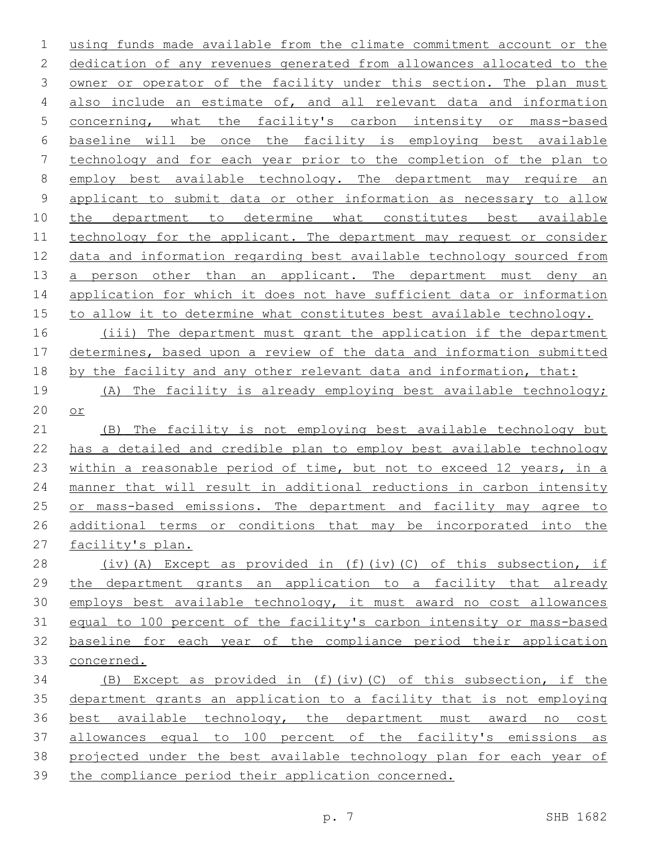using funds made available from the climate commitment account or the dedication of any revenues generated from allowances allocated to the 3 owner or operator of the facility under this section. The plan must also include an estimate of, and all relevant data and information concerning, what the facility's carbon intensity or mass-based baseline will be once the facility is employing best available technology and for each year prior to the completion of the plan to employ best available technology. The department may require an applicant to submit data or other information as necessary to allow the department to determine what constitutes best available 11 technology for the applicant. The department may request or consider data and information regarding best available technology sourced from 13 a person other than an applicant. The department must deny an application for which it does not have sufficient data or information to allow it to determine what constitutes best available technology.

 (iii) The department must grant the application if the department determines, based upon a review of the data and information submitted 18 by the facility and any other relevant data and information, that:

 (A) The facility is already employing best available technology; or

 (B) The facility is not employing best available technology but has a detailed and credible plan to employ best available technology within a reasonable period of time, but not to exceed 12 years, in a manner that will result in additional reductions in carbon intensity 25 or mass-based emissions. The department and facility may agree to additional terms or conditions that may be incorporated into the facility's plan.

 (iv)(A) Except as provided in (f)(iv)(C) of this subsection, if the department grants an application to a facility that already employs best available technology, it must award no cost allowances 31 equal to 100 percent of the facility's carbon intensity or mass-based baseline for each year of the compliance period their application concerned.

 (B) Except as provided in (f)(iv)(C) of this subsection, if the department grants an application to a facility that is not employing best available technology, the department must award no cost allowances equal to 100 percent of the facility's emissions as projected under the best available technology plan for each year of the compliance period their application concerned.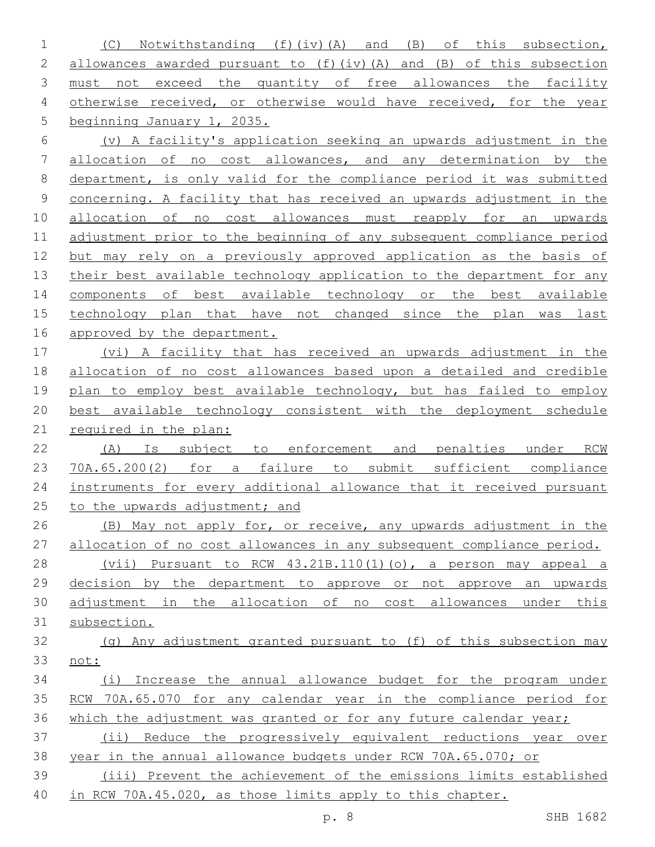(C) Notwithstanding (f)(iv)(A) and (B) of this subsection, allowances awarded pursuant to (f)(iv)(A) and (B) of this subsection 3 must not exceed the quantity of free allowances the facility 4 otherwise received, or otherwise would have received, for the year beginning January 1, 2035. (v) A facility's application seeking an upwards adjustment in the

 allocation of no cost allowances, and any determination by the department, is only valid for the compliance period it was submitted concerning. A facility that has received an upwards adjustment in the allocation of no cost allowances must reapply for an upwards adjustment prior to the beginning of any subsequent compliance period but may rely on a previously approved application as the basis of 13 their best available technology application to the department for any components of best available technology or the best available technology plan that have not changed since the plan was last 16 approved by the department.

 (vi) A facility that has received an upwards adjustment in the allocation of no cost allowances based upon a detailed and credible plan to employ best available technology, but has failed to employ best available technology consistent with the deployment schedule 21 required in the plan:

22 (A) Is subject to enforcement and penalties under RCW 70A.65.200(2) for a failure to submit sufficient compliance 24 instruments for every additional allowance that it received pursuant 25 to the upwards adjustment; and

26 (B) May not apply for, or receive, any upwards adjustment in the allocation of no cost allowances in any subsequent compliance period. (vii) Pursuant to RCW 43.21B.110(1)(o), a person may appeal a

 decision by the department to approve or not approve an upwards adjustment in the allocation of no cost allowances under this subsection.

 (g) Any adjustment granted pursuant to (f) of this subsection may not:

 (i) Increase the annual allowance budget for the program under RCW 70A.65.070 for any calendar year in the compliance period for 36 which the adjustment was granted or for any future calendar year;

 (ii) Reduce the progressively equivalent reductions year over year in the annual allowance budgets under RCW 70A.65.070; or

 (iii) Prevent the achievement of the emissions limits established in RCW 70A.45.020, as those limits apply to this chapter.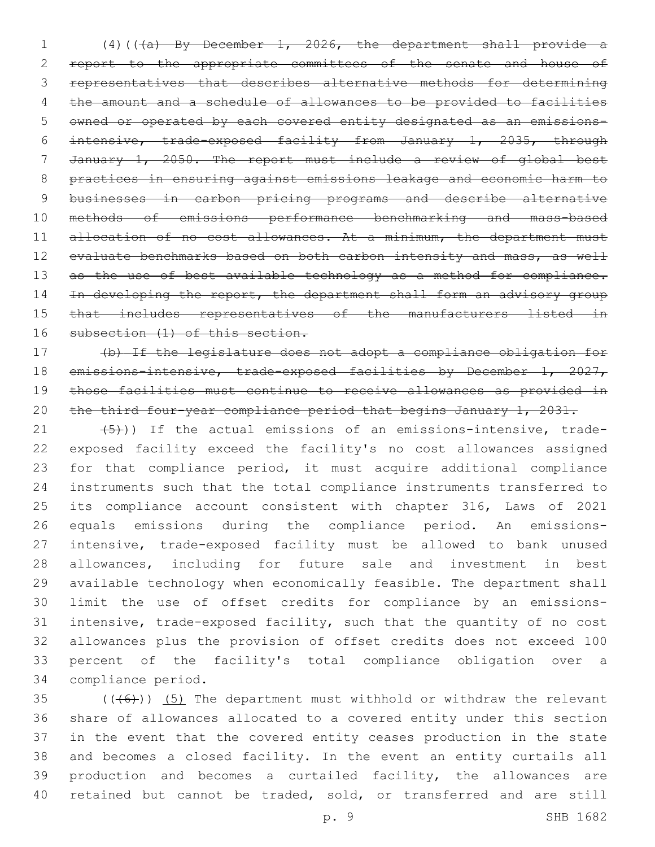(4)(((a) By December 1, 2026, the department shall provide a 2 report to the appropriate committees of the senate and house of representatives that describes alternative methods for determining the amount and a schedule of allowances to be provided to facilities owned or operated by each covered entity designated as an emissions- intensive, trade-exposed facility from January 1, 2035, through January 1, 2050. The report must include a review of global best practices in ensuring against emissions leakage and economic harm to businesses in carbon pricing programs and describe alternative methods of emissions performance benchmarking and mass-based 11 allocation of no cost allowances. At a minimum, the department must 12 evaluate benchmarks based on both carbon intensity and mass, as well 13 as the use of best available technology as a method for compliance. 14 In developing the report, the department shall form an advisory group that includes representatives of the manufacturers listed in 16 subsection (1) of this section.

 (b) If the legislature does not adopt a compliance obligation for 18 emissions-intensive, trade-exposed facilities by December 1, 2027, those facilities must continue to receive allowances as provided in 20 the third four-year compliance period that begins January 1, 2031.

 $(5)$ )) If the actual emissions of an emissions-intensive, trade- exposed facility exceed the facility's no cost allowances assigned for that compliance period, it must acquire additional compliance instruments such that the total compliance instruments transferred to its compliance account consistent with chapter 316, Laws of 2021 equals emissions during the compliance period. An emissions- intensive, trade-exposed facility must be allowed to bank unused allowances, including for future sale and investment in best available technology when economically feasible. The department shall limit the use of offset credits for compliance by an emissions- intensive, trade-exposed facility, such that the quantity of no cost allowances plus the provision of offset credits does not exceed 100 percent of the facility's total compliance obligation over a 34 compliance period.

 $((+6))$  (5) The department must withhold or withdraw the relevant share of allowances allocated to a covered entity under this section in the event that the covered entity ceases production in the state and becomes a closed facility. In the event an entity curtails all production and becomes a curtailed facility, the allowances are retained but cannot be traded, sold, or transferred and are still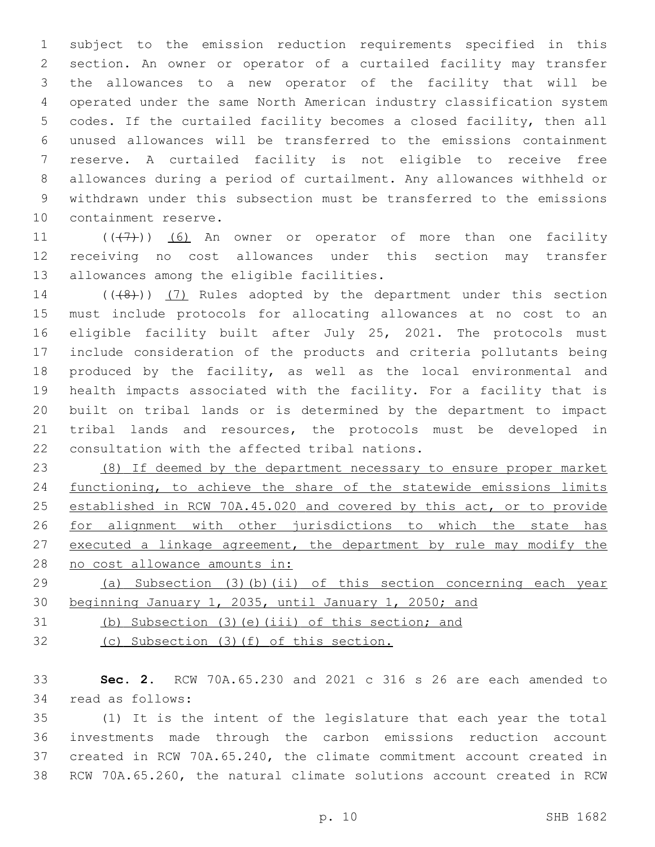subject to the emission reduction requirements specified in this section. An owner or operator of a curtailed facility may transfer the allowances to a new operator of the facility that will be operated under the same North American industry classification system codes. If the curtailed facility becomes a closed facility, then all unused allowances will be transferred to the emissions containment reserve. A curtailed facility is not eligible to receive free allowances during a period of curtailment. Any allowances withheld or withdrawn under this subsection must be transferred to the emissions 10 containment reserve.

11  $((+7+))$   $(6)$  An owner or operator of more than one facility receiving no cost allowances under this section may transfer 13 allowances among the eligible facilities.

14 (((8)) (7) Rules adopted by the department under this section must include protocols for allocating allowances at no cost to an eligible facility built after July 25, 2021. The protocols must include consideration of the products and criteria pollutants being produced by the facility, as well as the local environmental and health impacts associated with the facility. For a facility that is built on tribal lands or is determined by the department to impact tribal lands and resources, the protocols must be developed in 22 consultation with the affected tribal nations.

 (8) If deemed by the department necessary to ensure proper market functioning, to achieve the share of the statewide emissions limits established in RCW 70A.45.020 and covered by this act, or to provide for alignment with other jurisdictions to which the state has executed a linkage agreement, the department by rule may modify the no cost allowance amounts in:

 (a) Subsection (3)(b)(ii) of this section concerning each year beginning January 1, 2035, until January 1, 2050; and

(b) Subsection (3)(e)(iii) of this section; and

(c) Subsection (3)(f) of this section.

 **Sec. 2.** RCW 70A.65.230 and 2021 c 316 s 26 are each amended to 34 read as follows:

 (1) It is the intent of the legislature that each year the total investments made through the carbon emissions reduction account created in RCW 70A.65.240, the climate commitment account created in RCW 70A.65.260, the natural climate solutions account created in RCW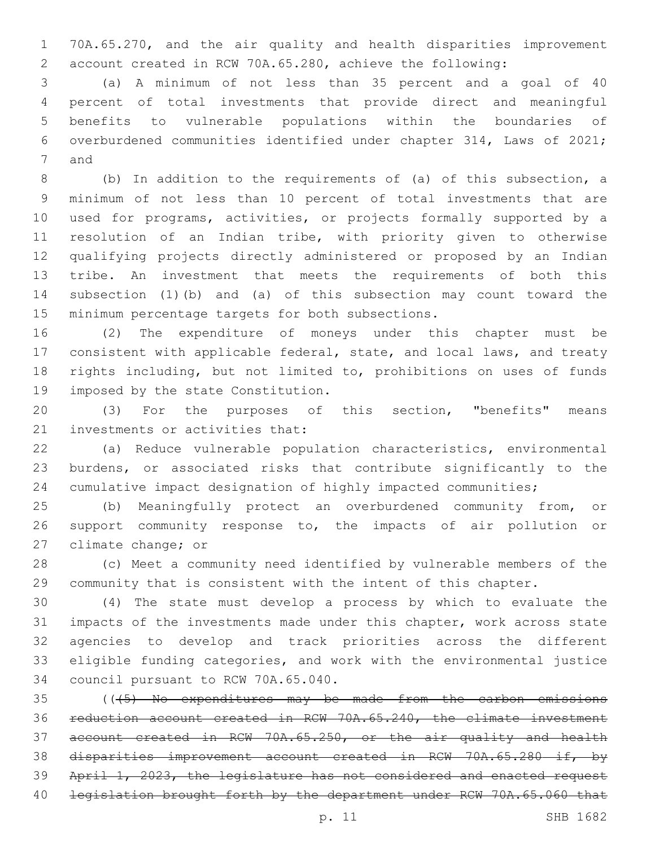70A.65.270, and the air quality and health disparities improvement account created in RCW 70A.65.280, achieve the following:

 (a) A minimum of not less than 35 percent and a goal of 40 percent of total investments that provide direct and meaningful benefits to vulnerable populations within the boundaries of overburdened communities identified under chapter 314, Laws of 2021; 7 and

 (b) In addition to the requirements of (a) of this subsection, a minimum of not less than 10 percent of total investments that are used for programs, activities, or projects formally supported by a resolution of an Indian tribe, with priority given to otherwise qualifying projects directly administered or proposed by an Indian tribe. An investment that meets the requirements of both this subsection (1)(b) and (a) of this subsection may count toward the 15 minimum percentage targets for both subsections.

 (2) The expenditure of moneys under this chapter must be consistent with applicable federal, state, and local laws, and treaty rights including, but not limited to, prohibitions on uses of funds 19 imposed by the state Constitution.

 (3) For the purposes of this section, "benefits" means 21 investments or activities that:

 (a) Reduce vulnerable population characteristics, environmental burdens, or associated risks that contribute significantly to the cumulative impact designation of highly impacted communities;

 (b) Meaningfully protect an overburdened community from, or support community response to, the impacts of air pollution or 27 climate change; or

 (c) Meet a community need identified by vulnerable members of the community that is consistent with the intent of this chapter.

 (4) The state must develop a process by which to evaluate the impacts of the investments made under this chapter, work across state agencies to develop and track priorities across the different eligible funding categories, and work with the environmental justice 34 council pursuant to RCW 70A.65.040.

 (((5) No expenditures may be made from the carbon emissions reduction account created in RCW 70A.65.240, the climate investment account created in RCW 70A.65.250, or the air quality and health disparities improvement account created in RCW 70A.65.280 if, by April 1, 2023, the legislature has not considered and enacted request 40 legislation brought forth by the department under RCW 70A.65.060 that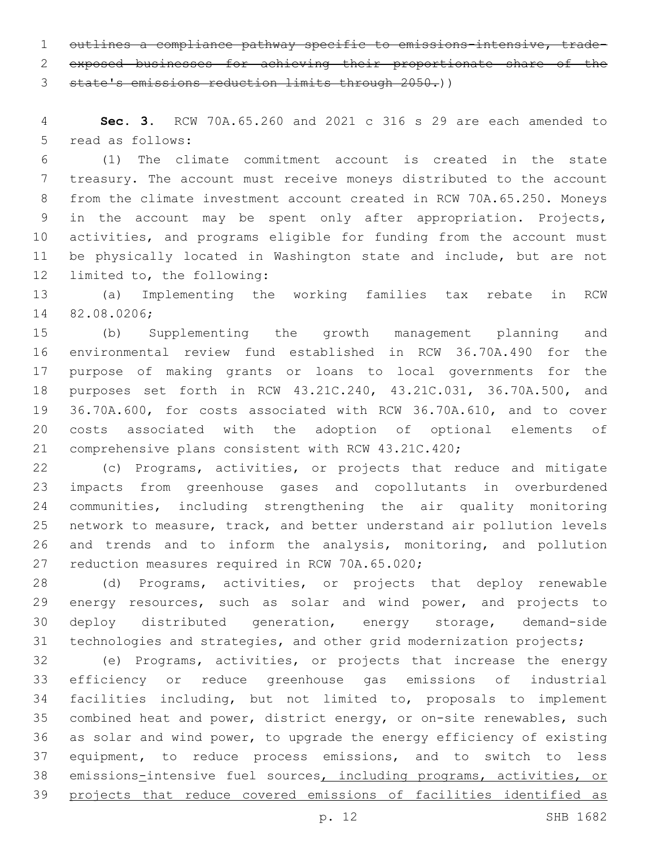outlines a compliance pathway specific to emissions-intensive, trade-exposed businesses for achieving their proportionate share of the

state's emissions reduction limits through 2050.))

 **Sec. 3.** RCW 70A.65.260 and 2021 c 316 s 29 are each amended to 5 read as follows:

 (1) The climate commitment account is created in the state treasury. The account must receive moneys distributed to the account from the climate investment account created in RCW 70A.65.250. Moneys in the account may be spent only after appropriation. Projects, activities, and programs eligible for funding from the account must be physically located in Washington state and include, but are not 12 limited to, the following:

 (a) Implementing the working families tax rebate in RCW 82.08.0206;14

 (b) Supplementing the growth management planning and environmental review fund established in RCW 36.70A.490 for the purpose of making grants or loans to local governments for the purposes set forth in RCW 43.21C.240, 43.21C.031, 36.70A.500, and 36.70A.600, for costs associated with RCW 36.70A.610, and to cover costs associated with the adoption of optional elements of comprehensive plans consistent with RCW 43.21C.420;

 (c) Programs, activities, or projects that reduce and mitigate impacts from greenhouse gases and copollutants in overburdened communities, including strengthening the air quality monitoring network to measure, track, and better understand air pollution levels and trends and to inform the analysis, monitoring, and pollution 27 reduction measures required in RCW 70A.65.020;

 (d) Programs, activities, or projects that deploy renewable energy resources, such as solar and wind power, and projects to deploy distributed generation, energy storage, demand-side technologies and strategies, and other grid modernization projects;

 (e) Programs, activities, or projects that increase the energy efficiency or reduce greenhouse gas emissions of industrial facilities including, but not limited to, proposals to implement combined heat and power, district energy, or on-site renewables, such as solar and wind power, to upgrade the energy efficiency of existing equipment, to reduce process emissions, and to switch to less 38 emissions-intensive fuel sources, including programs, activities, or 39 projects that reduce covered emissions of facilities identified as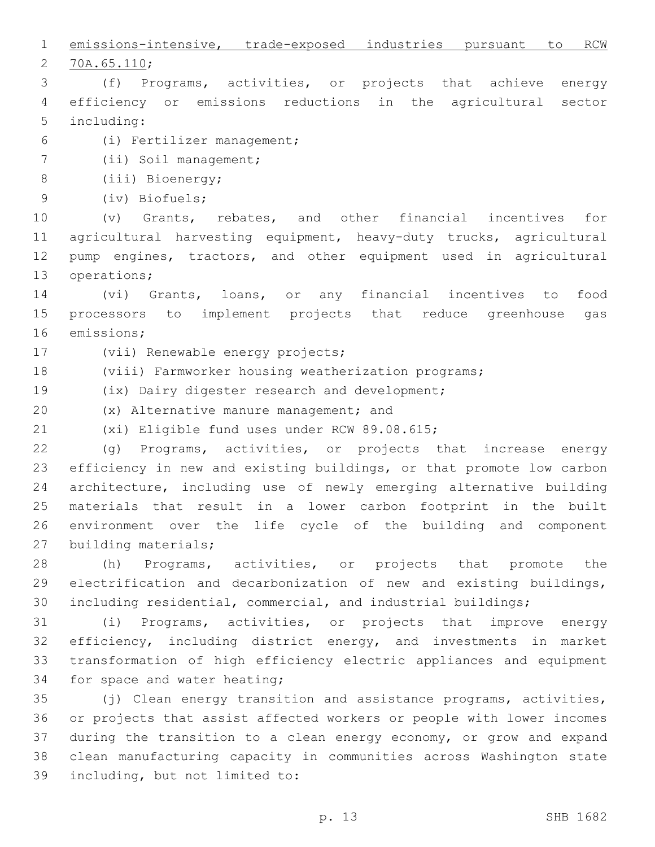emissions-intensive, trade-exposed industries pursuant to RCW 2 70A.65.110; (f) Programs, activities, or projects that achieve energy efficiency or emissions reductions in the agricultural sector 5 including: (i) Fertilizer management;6 7 (ii) Soil management; 8 (iii) Bioenergy; (iv) Biofuels;9 (v) Grants, rebates, and other financial incentives for agricultural harvesting equipment, heavy-duty trucks, agricultural pump engines, tractors, and other equipment used in agricultural 13 operations; (vi) Grants, loans, or any financial incentives to food processors to implement projects that reduce greenhouse gas 16 emissions; 17 (vii) Renewable energy projects; (viii) Farmworker housing weatherization programs; 19 (ix) Dairy digester research and development; 20 (x) Alternative manure management; and 21 (xi) Eligible fund uses under RCW 89.08.615; (g) Programs, activities, or projects that increase energy efficiency in new and existing buildings, or that promote low carbon architecture, including use of newly emerging alternative building materials that result in a lower carbon footprint in the built environment over the life cycle of the building and component 27 building materials; (h) Programs, activities, or projects that promote the electrification and decarbonization of new and existing buildings, including residential, commercial, and industrial buildings; (i) Programs, activities, or projects that improve energy efficiency, including district energy, and investments in market transformation of high efficiency electric appliances and equipment 34 for space and water heating; (j) Clean energy transition and assistance programs, activities, or projects that assist affected workers or people with lower incomes during the transition to a clean energy economy, or grow and expand clean manufacturing capacity in communities across Washington state 39 including, but not limited to: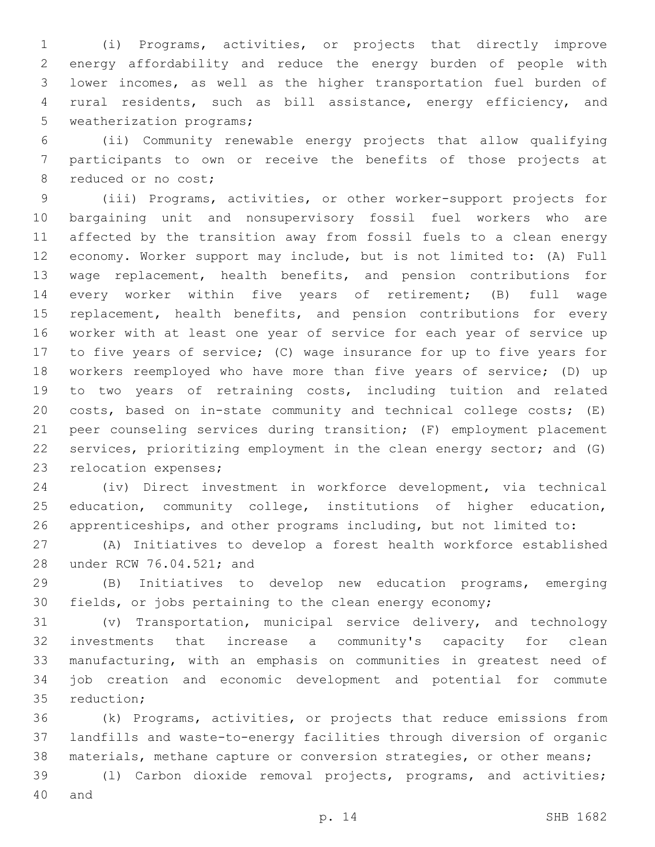(i) Programs, activities, or projects that directly improve energy affordability and reduce the energy burden of people with lower incomes, as well as the higher transportation fuel burden of rural residents, such as bill assistance, energy efficiency, and 5 weatherization programs;

 (ii) Community renewable energy projects that allow qualifying participants to own or receive the benefits of those projects at 8 reduced or no cost;

 (iii) Programs, activities, or other worker-support projects for bargaining unit and nonsupervisory fossil fuel workers who are affected by the transition away from fossil fuels to a clean energy economy. Worker support may include, but is not limited to: (A) Full wage replacement, health benefits, and pension contributions for every worker within five years of retirement; (B) full wage 15 replacement, health benefits, and pension contributions for every worker with at least one year of service for each year of service up to five years of service; (C) wage insurance for up to five years for workers reemployed who have more than five years of service; (D) up to two years of retraining costs, including tuition and related costs, based on in-state community and technical college costs; (E) peer counseling services during transition; (F) employment placement services, prioritizing employment in the clean energy sector; and (G) 23 relocation expenses;

 (iv) Direct investment in workforce development, via technical education, community college, institutions of higher education, apprenticeships, and other programs including, but not limited to:

 (A) Initiatives to develop a forest health workforce established 28 under RCW 76.04.521; and

 (B) Initiatives to develop new education programs, emerging fields, or jobs pertaining to the clean energy economy;

 (v) Transportation, municipal service delivery, and technology investments that increase a community's capacity for clean manufacturing, with an emphasis on communities in greatest need of job creation and economic development and potential for commute 35 reduction;

 (k) Programs, activities, or projects that reduce emissions from landfills and waste-to-energy facilities through diversion of organic materials, methane capture or conversion strategies, or other means;

 (l) Carbon dioxide removal projects, programs, and activities; 40 and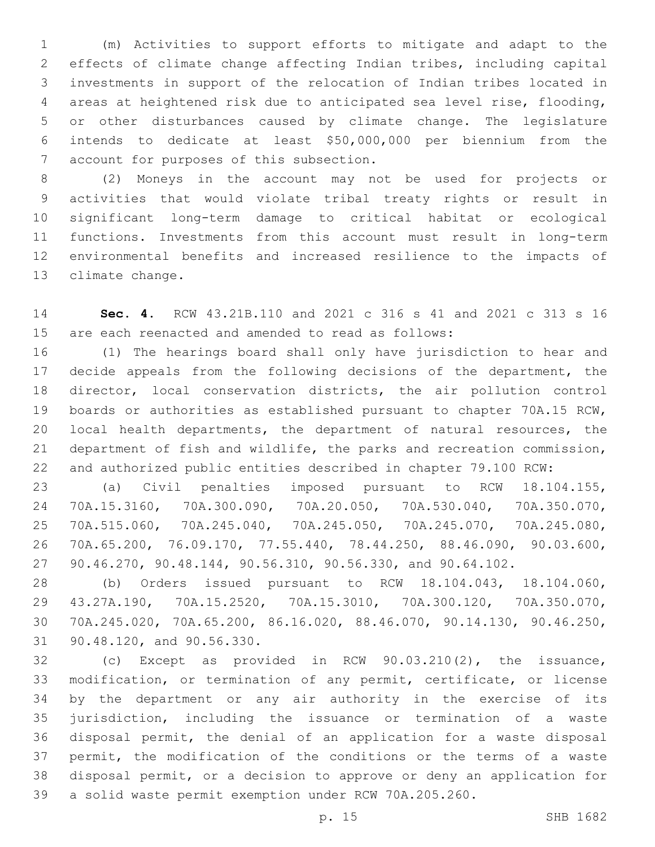(m) Activities to support efforts to mitigate and adapt to the effects of climate change affecting Indian tribes, including capital investments in support of the relocation of Indian tribes located in areas at heightened risk due to anticipated sea level rise, flooding, or other disturbances caused by climate change. The legislature intends to dedicate at least \$50,000,000 per biennium from the 7 account for purposes of this subsection.

 (2) Moneys in the account may not be used for projects or activities that would violate tribal treaty rights or result in significant long-term damage to critical habitat or ecological functions. Investments from this account must result in long-term environmental benefits and increased resilience to the impacts of 13 climate change.

 **Sec. 4.** RCW 43.21B.110 and 2021 c 316 s 41 and 2021 c 313 s 16 are each reenacted and amended to read as follows:

 (1) The hearings board shall only have jurisdiction to hear and decide appeals from the following decisions of the department, the director, local conservation districts, the air pollution control boards or authorities as established pursuant to chapter 70A.15 RCW, local health departments, the department of natural resources, the department of fish and wildlife, the parks and recreation commission, and authorized public entities described in chapter 79.100 RCW:

 (a) Civil penalties imposed pursuant to RCW 18.104.155, 70A.15.3160, 70A.300.090, 70A.20.050, 70A.530.040, 70A.350.070, 70A.515.060, 70A.245.040, 70A.245.050, 70A.245.070, 70A.245.080, 70A.65.200, 76.09.170, 77.55.440, 78.44.250, 88.46.090, 90.03.600, 90.46.270, 90.48.144, 90.56.310, 90.56.330, and 90.64.102.

 (b) Orders issued pursuant to RCW 18.104.043, 18.104.060, 43.27A.190, 70A.15.2520, 70A.15.3010, 70A.300.120, 70A.350.070, 70A.245.020, 70A.65.200, 86.16.020, 88.46.070, 90.14.130, 90.46.250, 31 90.48.120, and 90.56.330.

 (c) Except as provided in RCW 90.03.210(2), the issuance, modification, or termination of any permit, certificate, or license by the department or any air authority in the exercise of its jurisdiction, including the issuance or termination of a waste disposal permit, the denial of an application for a waste disposal permit, the modification of the conditions or the terms of a waste disposal permit, or a decision to approve or deny an application for a solid waste permit exemption under RCW 70A.205.260.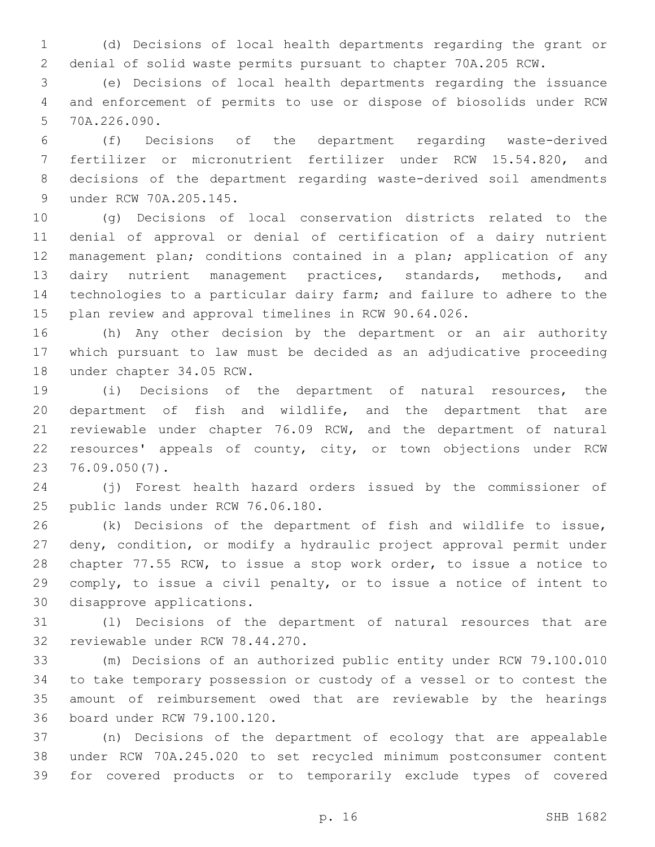(d) Decisions of local health departments regarding the grant or denial of solid waste permits pursuant to chapter 70A.205 RCW.

 (e) Decisions of local health departments regarding the issuance and enforcement of permits to use or dispose of biosolids under RCW 5 70A.226.090.

 (f) Decisions of the department regarding waste-derived fertilizer or micronutrient fertilizer under RCW 15.54.820, and decisions of the department regarding waste-derived soil amendments 9 under RCW 70A.205.145.

 (g) Decisions of local conservation districts related to the denial of approval or denial of certification of a dairy nutrient management plan; conditions contained in a plan; application of any dairy nutrient management practices, standards, methods, and technologies to a particular dairy farm; and failure to adhere to the plan review and approval timelines in RCW 90.64.026.

 (h) Any other decision by the department or an air authority which pursuant to law must be decided as an adjudicative proceeding 18 under chapter 34.05 RCW.

 (i) Decisions of the department of natural resources, the department of fish and wildlife, and the department that are reviewable under chapter 76.09 RCW, and the department of natural resources' appeals of county, city, or town objections under RCW 76.09.050(7).23

 (j) Forest health hazard orders issued by the commissioner of 25 public lands under RCW 76.06.180.

 (k) Decisions of the department of fish and wildlife to issue, deny, condition, or modify a hydraulic project approval permit under chapter 77.55 RCW, to issue a stop work order, to issue a notice to comply, to issue a civil penalty, or to issue a notice of intent to 30 disapprove applications.

 (l) Decisions of the department of natural resources that are 32 reviewable under RCW 78.44.270.

 (m) Decisions of an authorized public entity under RCW 79.100.010 to take temporary possession or custody of a vessel or to contest the amount of reimbursement owed that are reviewable by the hearings 36 board under RCW 79.100.120.

 (n) Decisions of the department of ecology that are appealable under RCW 70A.245.020 to set recycled minimum postconsumer content for covered products or to temporarily exclude types of covered